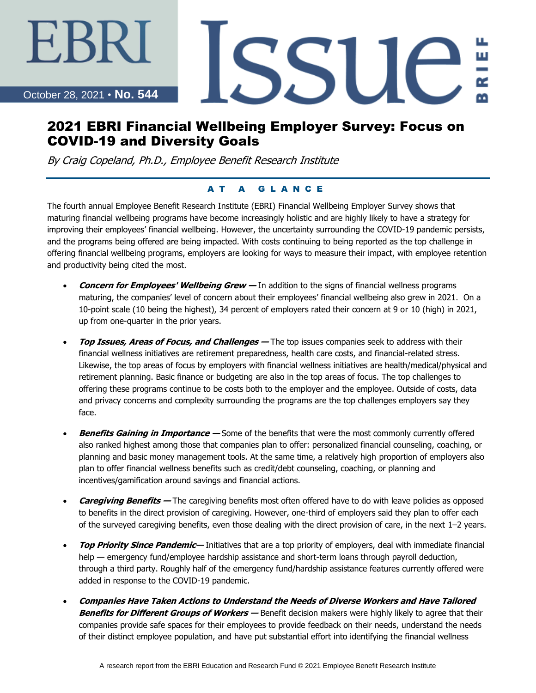October 28, 2021 • **No. 544**

EKR.

# SSU ш

## 2021 EBRI Financial Wellbeing Employer Survey: Focus on COVID-19 and Diversity Goals

By Craig Copeland, Ph.D., Employee Benefit Research Institute

#### AT A GLANCE

The fourth annual Employee Benefit Research Institute (EBRI) Financial Wellbeing Employer Survey shows that maturing financial wellbeing programs have become increasingly holistic and are highly likely to have a strategy for improving their employees' financial wellbeing. However, the uncertainty surrounding the COVID-19 pandemic persists, and the programs being offered are being impacted. With costs continuing to being reported as the top challenge in offering financial wellbeing programs, employers are looking for ways to measure their impact, with employee retention and productivity being cited the most.

- **Concern for Employees' Wellbeing Grew —** In addition to the signs of financial wellness programs maturing, the companies' level of concern about their employees' financial wellbeing also grew in 2021. On a 10-point scale (10 being the highest), 34 percent of employers rated their concern at 9 or 10 (high) in 2021, up from one-quarter in the prior years.
- **Top Issues, Areas of Focus, and Challenges —** The top issues companies seek to address with their financial wellness initiatives are retirement preparedness, health care costs, and financial-related stress. Likewise, the top areas of focus by employers with financial wellness initiatives are health/medical/physical and retirement planning. Basic finance or budgeting are also in the top areas of focus. The top challenges to offering these programs continue to be costs both to the employer and the employee. Outside of costs, data and privacy concerns and complexity surrounding the programs are the top challenges employers say they face.
- **Benefits Gaining in Importance —** Some of the benefits that were the most commonly currently offered also ranked highest among those that companies plan to offer: personalized financial counseling, coaching, or planning and basic money management tools. At the same time, a relatively high proportion of employers also plan to offer financial wellness benefits such as credit/debt counseling, coaching, or planning and incentives/gamification around savings and financial actions.
- **Caregiving Benefits —** The caregiving benefits most often offered have to do with leave policies as opposed to benefits in the direct provision of caregiving. However, one-third of employers said they plan to offer each of the surveyed caregiving benefits, even those dealing with the direct provision of care, in the next 1–2 years.
- **Top Priority Since Pandemic—** Initiatives that are a top priority of employers, deal with immediate financial help — emergency fund/employee hardship assistance and short-term loans through payroll deduction, through a third party. Roughly half of the emergency fund/hardship assistance features currently offered were added in response to the COVID-19 pandemic.
- **Companies Have Taken Actions to Understand the Needs of Diverse Workers and Have Tailored Benefits for Different Groups of Workers —** Benefit decision makers were highly likely to agree that their companies provide safe spaces for their employees to provide feedback on their needs, understand the needs of their distinct employee population, and have put substantial effort into identifying the financial wellness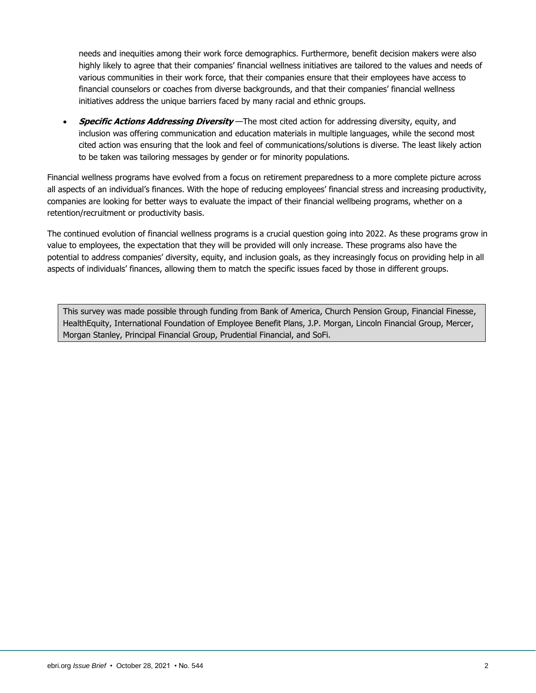needs and inequities among their work force demographics. Furthermore, benefit decision makers were also highly likely to agree that their companies' financial wellness initiatives are tailored to the values and needs of various communities in their work force, that their companies ensure that their employees have access to financial counselors or coaches from diverse backgrounds, and that their companies' financial wellness initiatives address the unique barriers faced by many racial and ethnic groups.

• **Specific Actions Addressing Diversity** —The most cited action for addressing diversity, equity, and inclusion was offering communication and education materials in multiple languages, while the second most cited action was ensuring that the look and feel of communications/solutions is diverse. The least likely action to be taken was tailoring messages by gender or for minority populations.

Financial wellness programs have evolved from a focus on retirement preparedness to a more complete picture across all aspects of an individual's finances. With the hope of reducing employees' financial stress and increasing productivity, companies are looking for better ways to evaluate the impact of their financial wellbeing programs, whether on a retention/recruitment or productivity basis.

The continued evolution of financial wellness programs is a crucial question going into 2022. As these programs grow in value to employees, the expectation that they will be provided will only increase. These programs also have the potential to address companies' diversity, equity, and inclusion goals, as they increasingly focus on providing help in all aspects of individuals' finances, allowing them to match the specific issues faced by those in different groups.

This survey was made possible through funding from Bank of America, Church Pension Group, Financial Finesse, HealthEquity, International Foundation of Employee Benefit Plans, J.P. Morgan, Lincoln Financial Group, Mercer, Morgan Stanley, Principal Financial Group, Prudential Financial, and SoFi.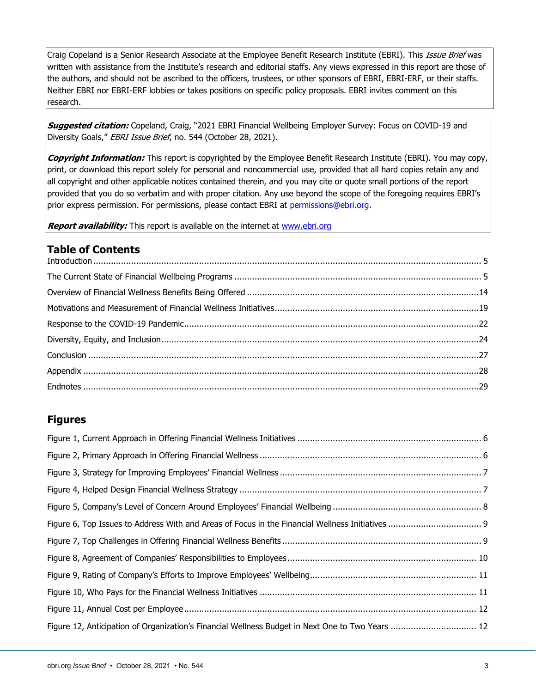Craig Copeland is a Senior Research Associate at the Employee Benefit Research Institute (EBRI). This Issue Brief was written with assistance from the Institute's research and editorial staffs. Any views expressed in this report are those of the authors, and should not be ascribed to the officers, trustees, or other sponsors of EBRI, EBRI-ERF, or their staffs. Neither EBRI nor EBRI-ERF lobbies or takes positions on specific policy proposals. EBRI invites comment on this research.

**Suggested citation:** Copeland, Craig, "2021 EBRI Financial Wellbeing Employer Survey: Focus on COVID-19 and Diversity Goals," EBRI Issue Brief, no. 544 (October 28, 2021).

**Copyright Information:** This report is copyrighted by the Employee Benefit Research Institute (EBRI). You may copy, print, or download this report solely for personal and noncommercial use, provided that all hard copies retain any and all copyright and other applicable notices contained therein, and you may cite or quote small portions of the report provided that you do so verbatim and with proper citation. Any use beyond the scope of the foregoing requires EBRI's prior express permission. For permissions, please contact EBRI at [permissions@ebri.org.](mailto:permissions@ebri.org)

**Report availability:** This report is available on the internet at [www.ebri.org](file://///cetrom.net/EBRI$/EBRI_Data$/Users/stephen.blakely/Editing%20(Current)/IB/IB.Dec14.K-Update/Dec11-IB-K-update/www.ebri.org)

## **Table of Contents**

## **Figures**

| Figure 12, Anticipation of Organization's Financial Wellness Budget in Next One to Two Years  12 |  |
|--------------------------------------------------------------------------------------------------|--|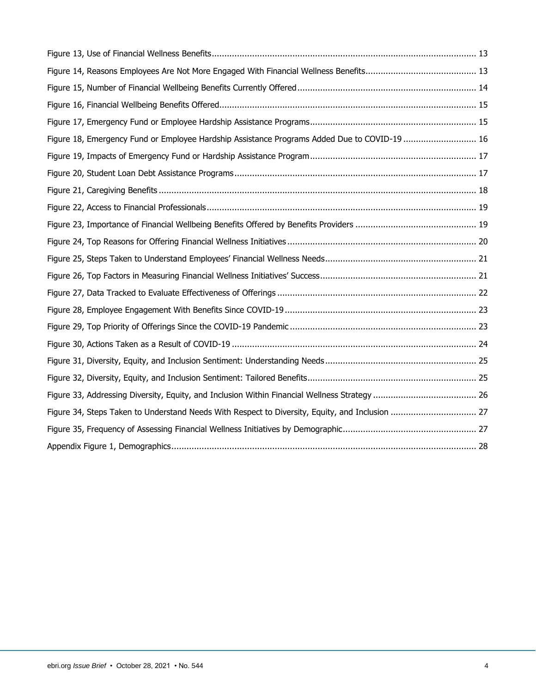| Figure 18, Emergency Fund or Employee Hardship Assistance Programs Added Due to COVID-19  16    |  |
|-------------------------------------------------------------------------------------------------|--|
|                                                                                                 |  |
|                                                                                                 |  |
|                                                                                                 |  |
|                                                                                                 |  |
|                                                                                                 |  |
|                                                                                                 |  |
|                                                                                                 |  |
|                                                                                                 |  |
|                                                                                                 |  |
|                                                                                                 |  |
|                                                                                                 |  |
|                                                                                                 |  |
|                                                                                                 |  |
|                                                                                                 |  |
|                                                                                                 |  |
| Figure 34, Steps Taken to Understand Needs With Respect to Diversity, Equity, and Inclusion  27 |  |
|                                                                                                 |  |
|                                                                                                 |  |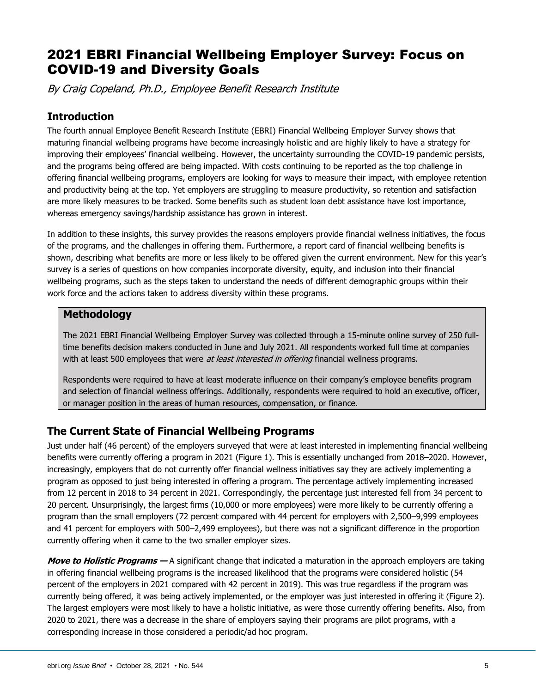# 2021 EBRI Financial Wellbeing Employer Survey: Focus on COVID-19 and Diversity Goals

By Craig Copeland, Ph.D., Employee Benefit Research Institute

## <span id="page-4-0"></span>**Introduction**

The fourth annual Employee Benefit Research Institute (EBRI) Financial Wellbeing Employer Survey shows that maturing financial wellbeing programs have become increasingly holistic and are highly likely to have a strategy for improving their employees' financial wellbeing. However, the uncertainty surrounding the COVID-19 pandemic persists, and the programs being offered are being impacted. With costs continuing to be reported as the top challenge in offering financial wellbeing programs, employers are looking for ways to measure their impact, with employee retention and productivity being at the top. Yet employers are struggling to measure productivity, so retention and satisfaction are more likely measures to be tracked. Some benefits such as student loan debt assistance have lost importance, whereas emergency savings/hardship assistance has grown in interest.

In addition to these insights, this survey provides the reasons employers provide financial wellness initiatives, the focus of the programs, and the challenges in offering them. Furthermore, a report card of financial wellbeing benefits is shown, describing what benefits are more or less likely to be offered given the current environment. New for this year's survey is a series of questions on how companies incorporate diversity, equity, and inclusion into their financial wellbeing programs, such as the steps taken to understand the needs of different demographic groups within their work force and the actions taken to address diversity within these programs.

## **Methodology**

The 2021 EBRI Financial Wellbeing Employer Survey was collected through a 15-minute online survey of 250 fulltime benefits decision makers conducted in June and July 2021. All respondents worked full time at companies with at least 500 employees that were at least interested in offering financial wellness programs.

Respondents were required to have at least moderate influence on their company's employee benefits program and selection of financial wellness offerings. Additionally, respondents were required to hold an executive, officer, or manager position in the areas of human resources, compensation, or finance.

## <span id="page-4-1"></span>**The Current State of Financial Wellbeing Programs**

Just under half (46 percent) of the employers surveyed that were at least interested in implementing financial wellbeing benefits were currently offering a program in 2021 (Figure 1). This is essentially unchanged from 2018–2020. However, increasingly, employers that do not currently offer financial wellness initiatives say they are actively implementing a program as opposed to just being interested in offering a program. The percentage actively implementing increased from 12 percent in 2018 to 34 percent in 2021. Correspondingly, the percentage just interested fell from 34 percent to 20 percent. Unsurprisingly, the largest firms (10,000 or more employees) were more likely to be currently offering a program than the small employers (72 percent compared with 44 percent for employers with 2,500–9,999 employees and 41 percent for employers with 500–2,499 employees), but there was not a significant difference in the proportion currently offering when it came to the two smaller employer sizes.

**Move to Holistic Programs —** A significant change that indicated a maturation in the approach employers are taking in offering financial wellbeing programs is the increased likelihood that the programs were considered holistic (54 percent of the employers in 2021 compared with 42 percent in 2019). This was true regardless if the program was currently being offered, it was being actively implemented, or the employer was just interested in offering it (Figure 2). The largest employers were most likely to have a holistic initiative, as were those currently offering benefits. Also, from 2020 to 2021, there was a decrease in the share of employers saying their programs are pilot programs, with a corresponding increase in those considered a periodic/ad hoc program.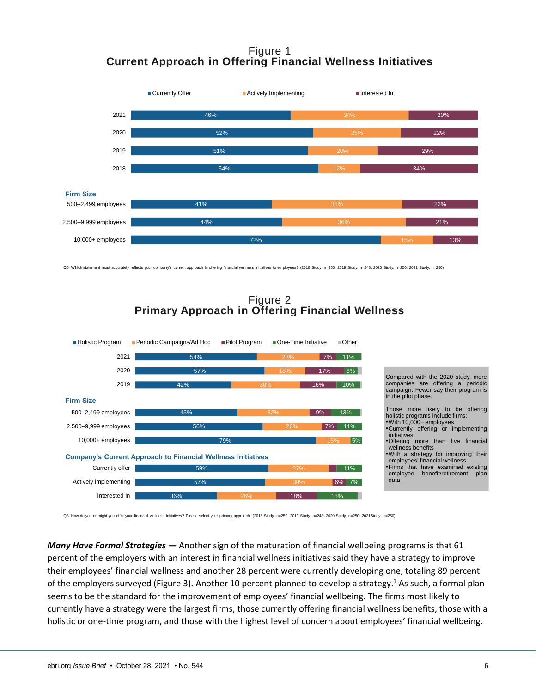## Figure 1 **Current Approach in Offering Financial Wellness Initiatives**



Q5. Which statement most accurately reflects your company's current approach in offering financial wellness initiatives to employees? (2018 Study, n=265; 2019 Study, n=248; 2020 Study, n=250; 2021 Study, n=250; 2021 Study,



Figure 2 **Primary Approach in Offering Financial Wellness**

Q8. How do you or might you offer your financial wellness initiatives? Please select your primary approach. (2018 Study, n=250; 2019 Study, n=248; 2020 Study, n=250; 2021 Study, n=250;

*Many Have Formal Strategies —* Another sign of the maturation of financial wellbeing programs is that 61 percent of the employers with an interest in financial wellness initiatives said they have a strategy to improve their employees' financial wellness and another 28 percent were currently developing one, totaling 89 percent of the employers surveyed (Figure 3). Another 10 percent planned to develop a strategy.<sup>1</sup> As such, a formal plan seems to be the standard for the improvement of employees' financial wellbeing. The firms most likely to currently have a strategy were the largest firms, those currently offering financial wellness benefits, those with a holistic or one-time program, and those with the highest level of concern about employees' financial wellbeing.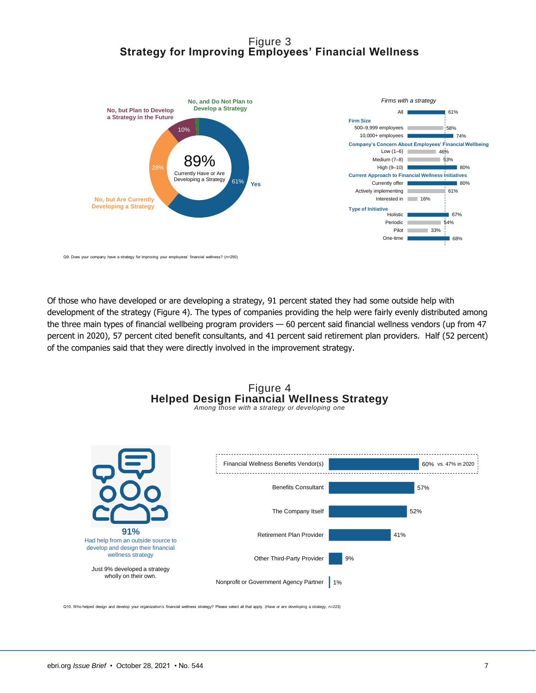## Figure 3 **Strategy for Improving Employees' Financial Wellness**



Q9. Does your company have a strategy for improving your employees' financial wellness? (n=250)

Of those who have developed or are developing a strategy, 91 percent stated they had some outside help with development of the strategy (Figure 4). The types of companies providing the help were fairly evenly distributed among the three main types of financial wellbeing program providers — 60 percent said financial wellness vendors (up from 47 percent in 2020), 57 percent cited benefit consultants, and 41 percent said retirement plan providers. Half (52 percent) of the companies said that they were directly involved in the improvement strategy.





Q10. Who helped design and develop your organization's financial wellness strategy? Please select all that apply. (Have or are developing a strategy. n=223)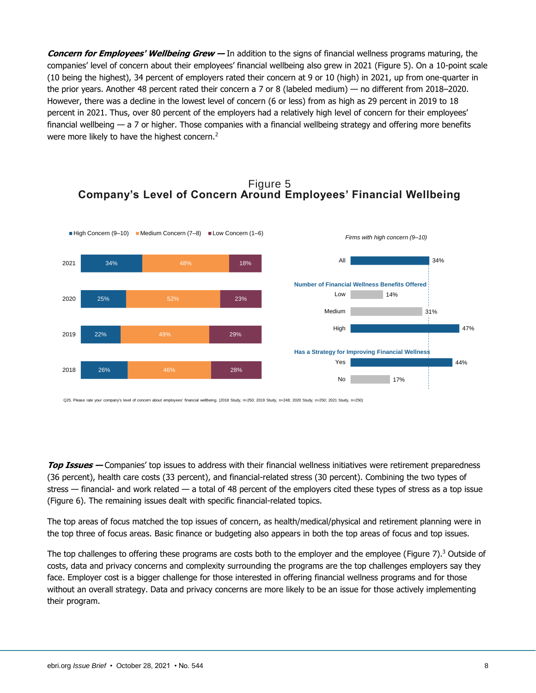**Concern for Employees' Wellbeing Grew —** In addition to the signs of financial wellness programs maturing, the companies' level of concern about their employees' financial wellbeing also grew in 2021 (Figure 5). On a 10-point scale (10 being the highest), 34 percent of employers rated their concern at 9 or 10 (high) in 2021, up from one-quarter in the prior years. Another 48 percent rated their concern a 7 or 8 (labeled medium) — no different from 2018–2020. However, there was a decline in the lowest level of concern (6 or less) from as high as 29 percent in 2019 to 18 percent in 2021. Thus, over 80 percent of the employers had a relatively high level of concern for their employees' financial wellbeing — a 7 or higher. Those companies with a financial wellbeing strategy and offering more benefits were more likely to have the highest concern.<sup>2</sup>

## Figure 5 **Company's Level of Concern Around Employees' Financial Wellbeing**



Q25. Please rate your company's level of concern about employees' financial wellbeing. (2018 Study, n=26): 2019 Study, n=248; 2020 Study, n=250; 2021 Study, n=250;

**Top Issues —** Companies' top issues to address with their financial wellness initiatives were retirement preparedness (36 percent), health care costs (33 percent), and financial-related stress (30 percent). Combining the two types of stress — financial- and work related — a total of 48 percent of the employers cited these types of stress as a top issue (Figure 6). The remaining issues dealt with specific financial-related topics.

The top areas of focus matched the top issues of concern, as health/medical/physical and retirement planning were in the top three of focus areas. Basic finance or budgeting also appears in both the top areas of focus and top issues.

The top challenges to offering these programs are costs both to the employer and the employee (Figure 7).<sup>3</sup> Outside of costs, data and privacy concerns and complexity surrounding the programs are the top challenges employers say they face. Employer cost is a bigger challenge for those interested in offering financial wellness programs and for those without an overall strategy. Data and privacy concerns are more likely to be an issue for those actively implementing their program.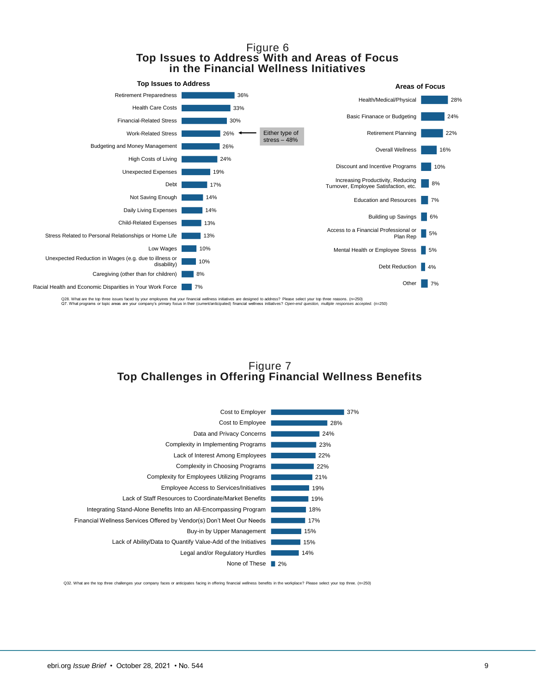#### Figure 6 **Top Issues to Address With and Areas of Focus in the Financial Wellness Initiatives**



Q28. What are the top three issues faced by your employees that your financial wellness initiatives are designed to address? Please select your top three reasons. (n=250)<br>Q7. What programs or topic areas are your company's

## Figure 7 **Top Challenges in Offering Financial Wellness Benefits**



Q32. What are the top three challenges your company faces or anticipates facing in offering financial wellness benefits in the workplace? Please select your top three. (n=250)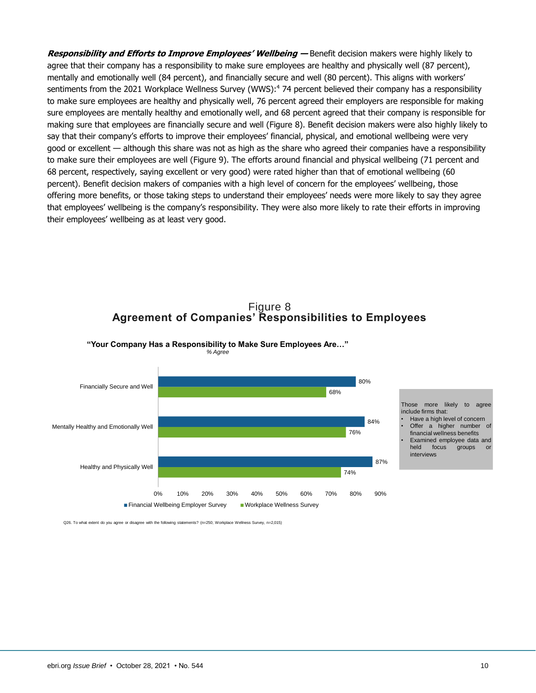**Responsibility and Efforts to Improve Employees' Wellbeing —** Benefit decision makers were highly likely to agree that their company has a responsibility to make sure employees are healthy and physically well (87 percent), mentally and emotionally well (84 percent), and financially secure and well (80 percent). This aligns with workers' sentiments from the 2021 Workplace Wellness Survey (WWS): <sup>4</sup> 74 percent believed their company has a responsibility to make sure employees are healthy and physically well, 76 percent agreed their employers are responsible for making sure employees are mentally healthy and emotionally well, and 68 percent agreed that their company is responsible for making sure that employees are financially secure and well (Figure 8). Benefit decision makers were also highly likely to say that their company's efforts to improve their employees' financial, physical, and emotional wellbeing were very good or excellent — although this share was not as high as the share who agreed their companies have a responsibility to make sure their employees are well (Figure 9). The efforts around financial and physical wellbeing (71 percent and 68 percent, respectively, saying excellent or very good) were rated higher than that of emotional wellbeing (60 percent). Benefit decision makers of companies with a high level of concern for the employees' wellbeing, those offering more benefits, or those taking steps to understand their employees' needs were more likely to say they agree that employees' wellbeing is the company's responsibility. They were also more likely to rate their efforts in improving their employees' wellbeing as at least very good.





**"Your Company Has a Responsibility to Make Sure Employees Are…"** *% Agree*

Q26. To what extent do you agree or disagree with the following statements? (n=250; Workplace Wellness Survey, n=2,015)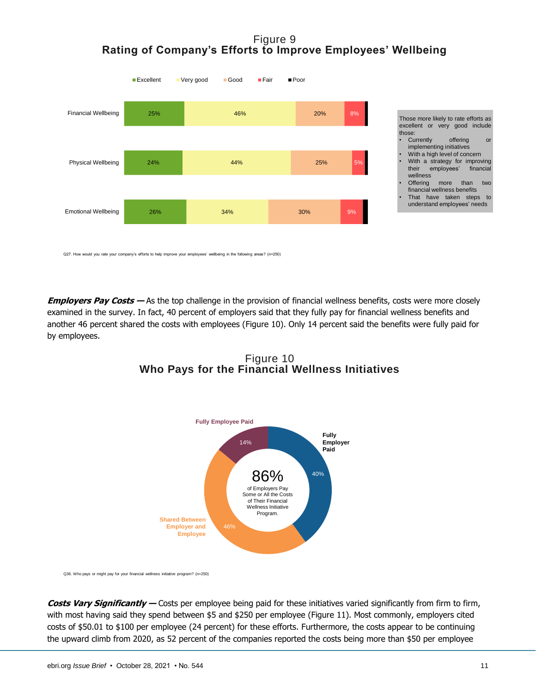## Figure 9 **Rating of Company's Efforts to Improve Employees' Wellbeing**



|        |                              |  |      |          | excellent or very good include |  |  |  |  |
|--------|------------------------------|--|------|----------|--------------------------------|--|--|--|--|
| those: |                              |  |      |          |                                |  |  |  |  |
|        | Currently                    |  |      | offering | or                             |  |  |  |  |
|        | implementing initiatives     |  |      |          |                                |  |  |  |  |
|        | With a high level of concern |  |      |          |                                |  |  |  |  |
|        |                              |  |      |          | With a strategy for improving  |  |  |  |  |
|        |                              |  |      |          | their employees' financial     |  |  |  |  |
|        | wellness                     |  |      |          |                                |  |  |  |  |
|        | Offering                     |  | more | than     | two                            |  |  |  |  |
|        | financial wellness benefits  |  |      |          |                                |  |  |  |  |

 That have taken steps to understand employees' needs

Those more likely to rate efforts as

Q27. How would you rate your company's efforts to help improve your employees' wellbeing in the following areas? (n=250)

**Employers Pay Costs —** As the top challenge in the provision of financial wellness benefits, costs were more closely examined in the survey. In fact, 40 percent of employers said that they fully pay for financial wellness benefits and another 46 percent shared the costs with employees (Figure 10). Only 14 percent said the benefits were fully paid for by employees.



Figure 10 **Who Pays for the Financial Wellness Initiatives** 

Q36. Who pays or might pay for your financial wellness initiative program? (n=250)

**Costs Vary Significantly —** Costs per employee being paid for these initiatives varied significantly from firm to firm, with most having said they spend between \$5 and \$250 per employee (Figure 11). Most commonly, employers cited costs of \$50.01 to \$100 per employee (24 percent) for these efforts. Furthermore, the costs appear to be continuing the upward climb from 2020, as 52 percent of the companies reported the costs being more than \$50 per employee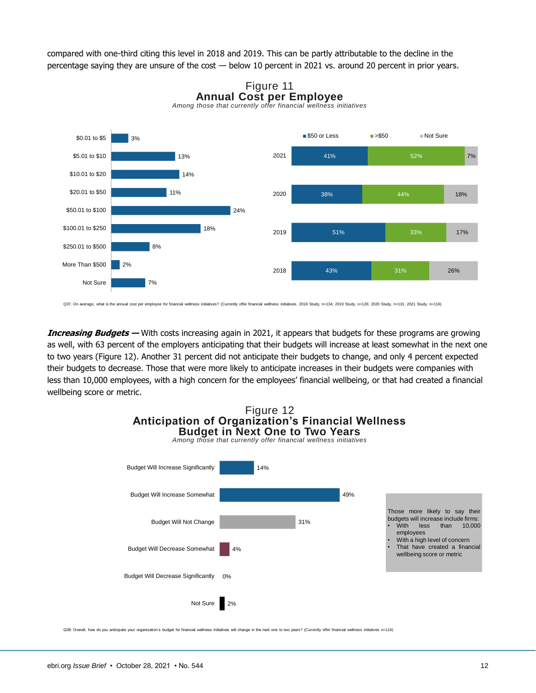compared with one-third citing this level in 2018 and 2019. This can be partly attributable to the decline in the percentage saying they are unsure of the cost — below 10 percent in 2021 vs. around 20 percent in prior years.





Q37. On average, what is the annual cost per employee for financial wellness initiatives? (Currently offer financial wellness initiatives. 2018 Study, n=134; 2019 Study, n=126; 2020 Study, n=131; 2021 Study, n=131; 2020 St

**Increasing Budgets —** With costs increasing again in 2021, it appears that budgets for these programs are growing as well, with 63 percent of the employers anticipating that their budgets will increase at least somewhat in the next one to two years (Figure 12). Another 31 percent did not anticipate their budgets to change, and only 4 percent expected their budgets to decrease. Those that were more likely to anticipate increases in their budgets were companies with less than 10,000 employees, with a high concern for the employees' financial wellbeing, or that had created a financial wellbeing score or metric.



Q38. Overall, how do you anticipate your organization's budget for financial wellness initiatives will change in the next one to two years? (Currently offer financial wellness initiatives n=116)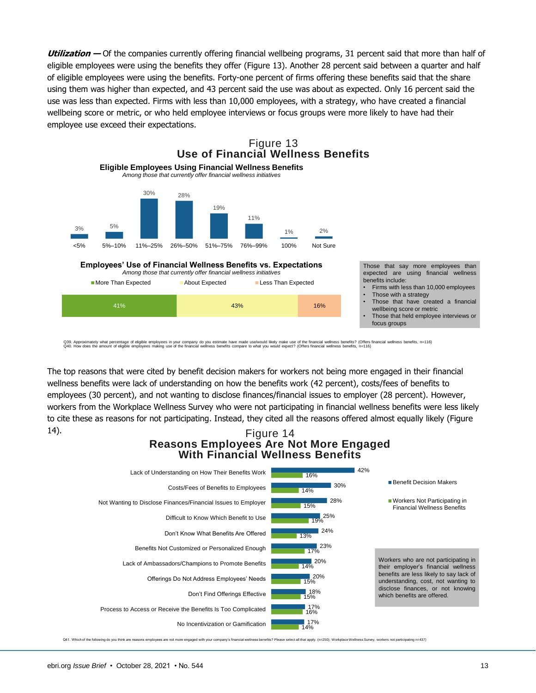**Utilization —** Of the companies currently offering financial wellbeing programs, 31 percent said that more than half of eligible employees were using the benefits they offer (Figure 13). Another 28 percent said between a quarter and half of eligible employees were using the benefits. Forty-one percent of firms offering these benefits said that the share using them was higher than expected, and 43 percent said the use was about as expected. Only 16 percent said the use was less than expected. Firms with less than 10,000 employees, with a strategy, who have created a financial wellbeing score or metric, or who held employee interviews or focus groups were more likely to have had their employee use exceed their expectations.



Q39. Approximately what percentage of eligible employes in your company do you estimate have made uselwould likely make use of the financial wellness benefits? (Offers financial wellness benefits, n=116)<br>Q40. How does the

The top reasons that were cited by benefit decision makers for workers not being more engaged in their financial wellness benefits were lack of understanding on how the benefits work (42 percent), costs/fees of benefits to employees (30 percent), and not wanting to disclose finances/financial issues to employer (28 percent). However, workers from the Workplace Wellness Survey who were not participating in financial wellness benefits were less likely to cite these as reasons for not participating. Instead, they cited all the reasons offered almost equally likely (Figure 14).

#### Figure 14 **Reasons Employees Are Not More Engaged With Financial Wellness Benefits**



Q41. Which of the following do you think are reasons employees are not more engaged with your company's financial wellness benefits? Please select all that apply. (n=250); Workplace Wellness Survey, workers not participati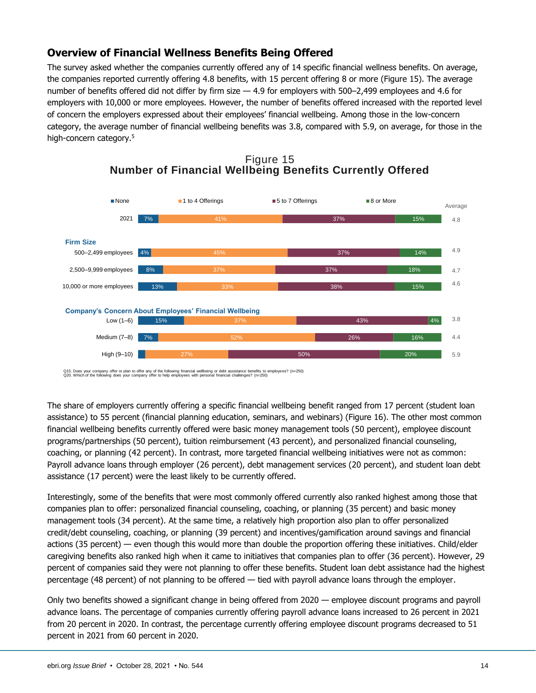## <span id="page-13-0"></span>**Overview of Financial Wellness Benefits Being Offered**

The survey asked whether the companies currently offered any of 14 specific financial wellness benefits. On average, the companies reported currently offering 4.8 benefits, with 15 percent offering 8 or more (Figure 15). The average number of benefits offered did not differ by firm size — 4.9 for employers with 500–2,499 employees and 4.6 for employers with 10,000 or more employees. However, the number of benefits offered increased with the reported level of concern the employers expressed about their employees' financial wellbeing. Among those in the low-concern category, the average number of financial wellbeing benefits was 3.8, compared with 5.9, on average, for those in the high-concern category.<sup>5</sup>





Q15. Does your company offer or plan to offer any of the following financial wellbeing or debt assistance benefits to employees? (n=250)<br>Q20. Which of the following does your company offer to help employees with personal f

The share of employers currently offering a specific financial wellbeing benefit ranged from 17 percent (student loan assistance) to 55 percent (financial planning education, seminars, and webinars) (Figure 16). The other most common financial wellbeing benefits currently offered were basic money management tools (50 percent), employee discount programs/partnerships (50 percent), tuition reimbursement (43 percent), and personalized financial counseling, coaching, or planning (42 percent). In contrast, more targeted financial wellbeing initiatives were not as common: Payroll advance loans through employer (26 percent), debt management services (20 percent), and student loan debt assistance (17 percent) were the least likely to be currently offered.

Interestingly, some of the benefits that were most commonly offered currently also ranked highest among those that companies plan to offer: personalized financial counseling, coaching, or planning (35 percent) and basic money management tools (34 percent). At the same time, a relatively high proportion also plan to offer personalized credit/debt counseling, coaching, or planning (39 percent) and incentives/gamification around savings and financial actions (35 percent) — even though this would more than double the proportion offering these initiatives. Child/elder caregiving benefits also ranked high when it came to initiatives that companies plan to offer (36 percent). However, 29 percent of companies said they were not planning to offer these benefits. Student loan debt assistance had the highest percentage (48 percent) of not planning to be offered — tied with payroll advance loans through the employer.

Only two benefits showed a significant change in being offered from 2020 — employee discount programs and payroll advance loans. The percentage of companies currently offering payroll advance loans increased to 26 percent in 2021 from 20 percent in 2020. In contrast, the percentage currently offering employee discount programs decreased to 51 percent in 2021 from 60 percent in 2020.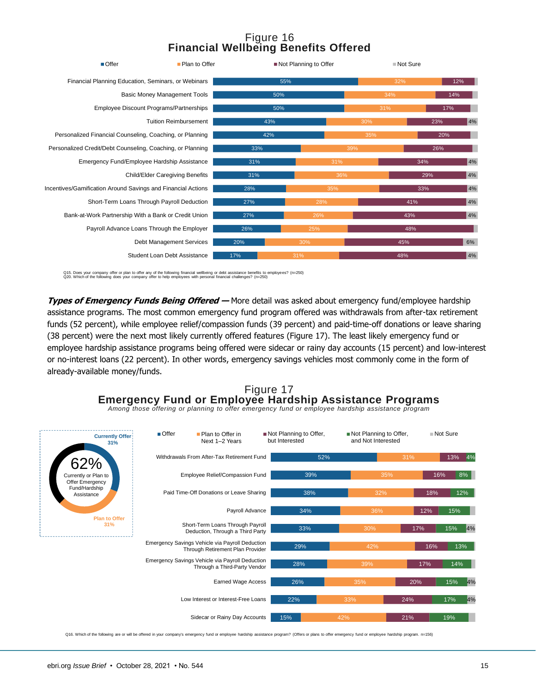## Figure 16 **Financial Wellbeing Benefits Offered**



Q15. Does your company offer or plan to offer any of the following financial wellbeing or debt assistance benefits to employees? (n=250)<br>Q20. Which of the following does your company offer to help employees with personal f

**Types of Emergency Funds Being Offered —** More detail was asked about emergency fund/employee hardship assistance programs. The most common emergency fund program offered was withdrawals from after-tax retirement funds (52 percent), while employee relief/compassion funds (39 percent) and paid-time-off donations or leave sharing (38 percent) were the next most likely currently offered features (Figure 17). The least likely emergency fund or employee hardship assistance programs being offered were sidecar or rainy day accounts (15 percent) and low-interest or no-interest loans (22 percent). In other words, emergency savings vehicles most commonly come in the form of already-available money/funds.

## Figure 17 **Emergency Fund or Employee Hardship Assistance Programs**

*Among those offering or planning to offer emergency fund or employee hardship assistance program*



Q16. Which of the following are or will be offered in your company's emergency fund or employee hardship assistance program? (Offers or plans to offer emergency fund or employee hardship program. n=156)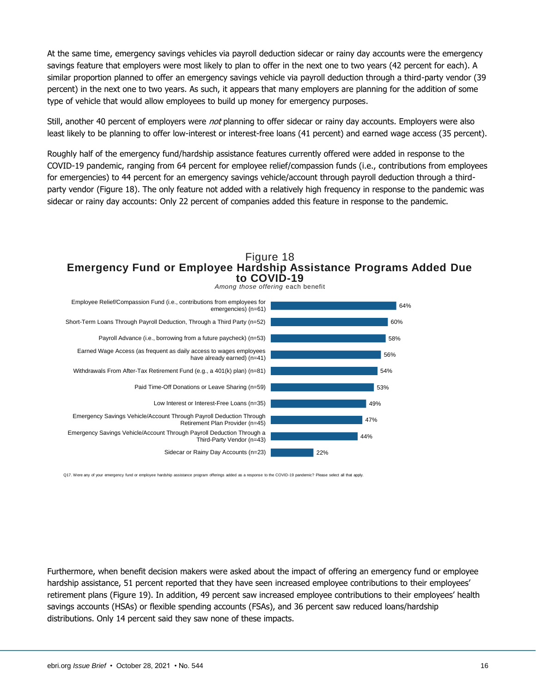At the same time, emergency savings vehicles via payroll deduction sidecar or rainy day accounts were the emergency savings feature that employers were most likely to plan to offer in the next one to two years (42 percent for each). A similar proportion planned to offer an emergency savings vehicle via payroll deduction through a third-party vendor (39 percent) in the next one to two years. As such, it appears that many employers are planning for the addition of some type of vehicle that would allow employees to build up money for emergency purposes.

Still, another 40 percent of employers were *not* planning to offer sidecar or rainy day accounts. Employers were also least likely to be planning to offer low-interest or interest-free loans (41 percent) and earned wage access (35 percent).

Roughly half of the emergency fund/hardship assistance features currently offered were added in response to the COVID-19 pandemic, ranging from 64 percent for employee relief/compassion funds (i.e., contributions from employees for emergencies) to 44 percent for an emergency savings vehicle/account through payroll deduction through a thirdparty vendor (Figure 18). The only feature not added with a relatively high frequency in response to the pandemic was sidecar or rainy day accounts: Only 22 percent of companies added this feature in response to the pandemic.

#### Figure 18 **Emergency Fund or Employee Hardship Assistance Programs Added Due to COVID-1 9**



Q17. Were any of your emergency fund or employee hardship assistance program offerings added as a response to the COVID-19 pandemic? Please select all that apply

Furthermore, when benefit decision makers were asked about the impact of offering an emergency fund or employee hardship assistance, 51 percent reported that they have seen increased employee contributions to their employees' retirement plans (Figure 19). In addition, 49 percent saw increased employee contributions to their employees' health savings accounts (HSAs) or flexible spending accounts (FSAs), and 36 percent saw reduced loans/hardship distributions. Only 14 percent said they saw none of these impacts.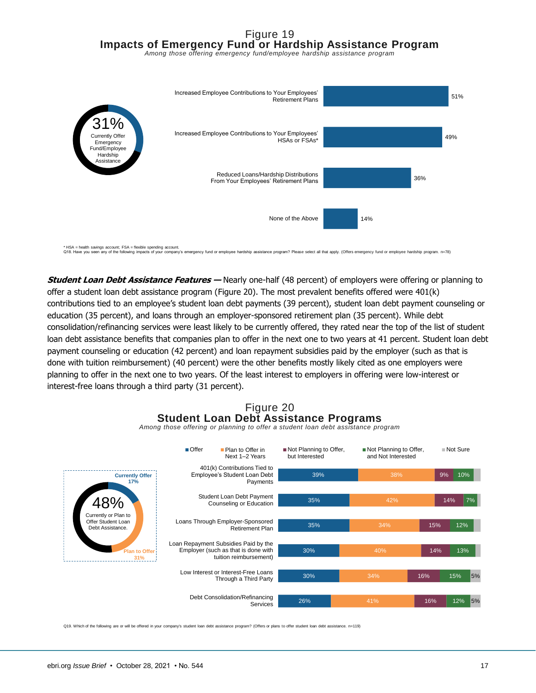## Figure 19 **Impacts of Emergency Fund or Hardship Assistance Program**

*Among those offering emergency fund/employee hardship assistance program*



\* HSA = health savings account; FSA = flexible spending account.<br>Q18. Have you seen any of the following impacts of your company's emergency fund or employee hardship or employee hardship sostance program merally assistanc

**Student Loan Debt Assistance Features —** Nearly one-half (48 percent) of employers were offering or planning to offer a student loan debt assistance program (Figure 20). The most prevalent benefits offered were 401(k) contributions tied to an employee's student loan debt payments (39 percent), student loan debt payment counseling or education (35 percent), and loans through an employer-sponsored retirement plan (35 percent). While debt consolidation/refinancing services were least likely to be currently offered, they rated near the top of the list of student loan debt assistance benefits that companies plan to offer in the next one to two years at 41 percent. Student loan debt payment counseling or education (42 percent) and loan repayment subsidies paid by the employer (such as that is done with tuition reimbursement) (40 percent) were the other benefits mostly likely cited as one employers were planning to offer in the next one to two years. Of the least interest to employers in offering were low-interest or interest-free loans through a third party (31 percent).

## Figure 20 **Student Loan Debt Assistance Programs**



*Among those offering or planning to offer a student loan debt assistance program*

Q19. Which of the following are or will be offered in your company's student loan debt assistance program? (Offers or plans to offer student loan debt assistance. n=119)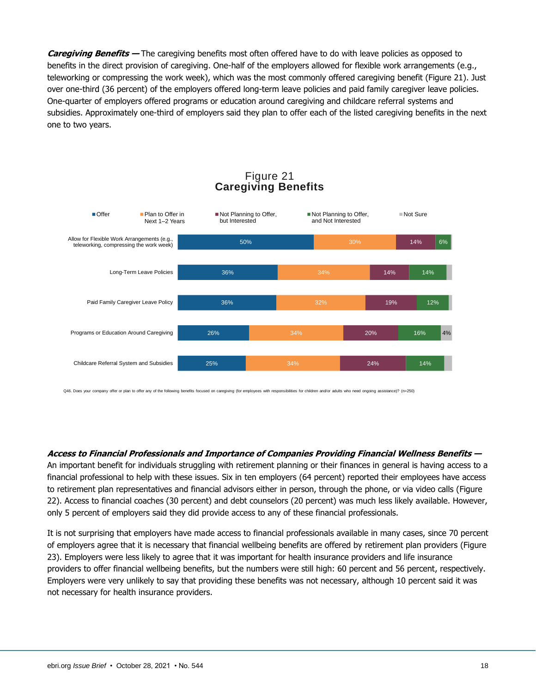**Caregiving Benefits —** The caregiving benefits most often offered have to do with leave policies as opposed to benefits in the direct provision of caregiving. One-half of the employers allowed for flexible work arrangements (e.g., teleworking or compressing the work week), which was the most commonly offered caregiving benefit (Figure 21). Just over one-third (36 percent) of the employers offered long-term leave policies and paid family caregiver leave policies. One-quarter of employers offered programs or education around caregiving and childcare referral systems and subsidies. Approximately one-third of employers said they plan to offer each of the listed caregiving benefits in the next one to two years.



## Figure 21 **Caregiving Benefits**

Q46. Does your company offer or plan to offer any of the following benefits focused on caregiving (for employees with responsibilities for children and/or adults who need ongoing assistance)? (n=250)

#### **Access to Financial Professionals and Importance of Companies Providing Financial Wellness Benefits —**

An important benefit for individuals struggling with retirement planning or their finances in general is having access to a financial professional to help with these issues. Six in ten employers (64 percent) reported their employees have access to retirement plan representatives and financial advisors either in person, through the phone, or via video calls (Figure 22). Access to financial coaches (30 percent) and debt counselors (20 percent) was much less likely available. However, only 5 percent of employers said they did provide access to any of these financial professionals.

It is not surprising that employers have made access to financial professionals available in many cases, since 70 percent of employers agree that it is necessary that financial wellbeing benefits are offered by retirement plan providers (Figure 23). Employers were less likely to agree that it was important for health insurance providers and life insurance providers to offer financial wellbeing benefits, but the numbers were still high: 60 percent and 56 percent, respectively. Employers were very unlikely to say that providing these benefits was not necessary, although 10 percent said it was not necessary for health insurance providers.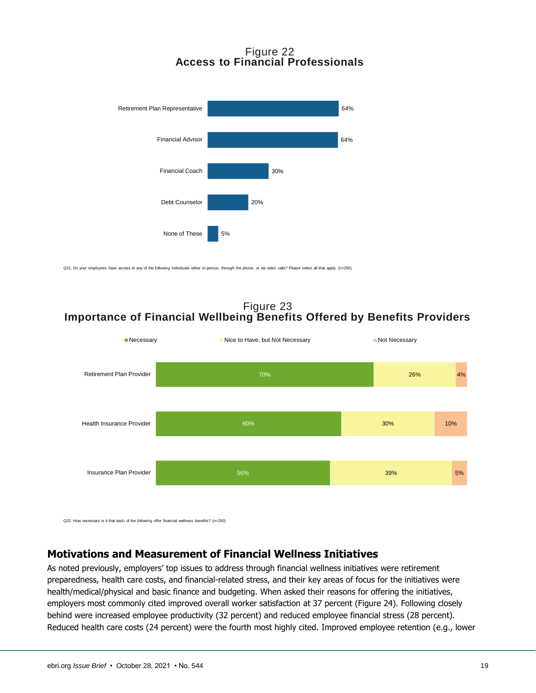## Figure 22 **Access to Financial Professionals**



Q21. Do your employees have access to any of the following individuals either in-person, through the phone, or via video calls? Please select all that apply. (n=250)

Figure 23 **Importance of Financial Wellbeing Benefits Offered by Benefits Providers**



Q22. How necessary is it that each of the following offer financial wellness benefits? (n=250)

## <span id="page-18-0"></span>**Motivations and Measurement of Financial Wellness Initiatives**

As noted previously, employers' top issues to address through financial wellness initiatives were retirement preparedness, health care costs, and financial-related stress, and their key areas of focus for the initiatives were health/medical/physical and basic finance and budgeting. When asked their reasons for offering the initiatives, employers most commonly cited improved overall worker satisfaction at 37 percent (Figure 24). Following closely behind were increased employee productivity (32 percent) and reduced employee financial stress (28 percent). Reduced health care costs (24 percent) were the fourth most highly cited. Improved employee retention (e.g., lower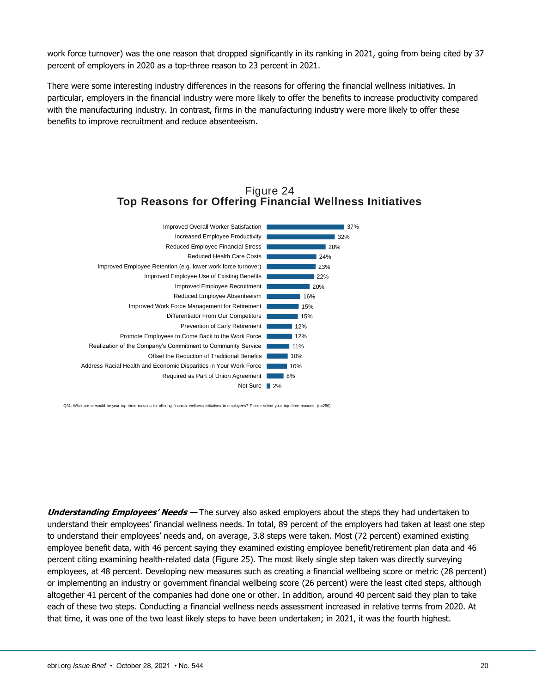work force turnover) was the one reason that dropped significantly in its ranking in 2021, going from being cited by 37 percent of employers in 2020 as a top-three reason to 23 percent in 2021.

There were some interesting industry differences in the reasons for offering the financial wellness initiatives. In particular, employers in the financial industry were more likely to offer the benefits to increase productivity compared with the manufacturing industry. In contrast, firms in the manufacturing industry were more likely to offer these benefits to improve recruitment and reduce absenteeism.

#### Figure 24 **Top Reasons for Offering Financial Wellness Initiatives**



Q31. What are or would be your top three reasons for offering financial wellness initiatives to employees? Please select your top three reasons. (n=250)

**Understanding Employees' Needs —** The survey also asked employers about the steps they had undertaken to understand their employees' financial wellness needs. In total, 89 percent of the employers had taken at least one step to understand their employees' needs and, on average, 3.8 steps were taken. Most (72 percent) examined existing employee benefit data, with 46 percent saying they examined existing employee benefit/retirement plan data and 46 percent citing examining health-related data (Figure 25). The most likely single step taken was directly surveying employees, at 48 percent. Developing new measures such as creating a financial wellbeing score or metric (28 percent) or implementing an industry or government financial wellbeing score (26 percent) were the least cited steps, although altogether 41 percent of the companies had done one or other. In addition, around 40 percent said they plan to take each of these two steps. Conducting a financial wellness needs assessment increased in relative terms from 2020. At that time, it was one of the two least likely steps to have been undertaken; in 2021, it was the fourth highest.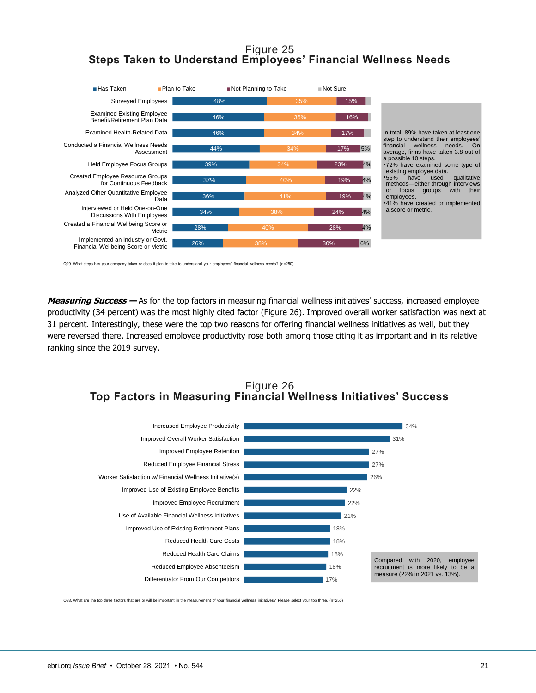## Figure 25 **Steps Taken to Understand Employees' Financial Wellness Needs**



Q29. What steps has your company taken or does it plan to take to understand your employees' financial wellness needs? (n=250)

**Measuring Success —** As for the top factors in measuring financial wellness initiatives' success, increased employee productivity (34 percent) was the most highly cited factor (Figure 26). Improved overall worker satisfaction was next at 31 percent. Interestingly, these were the top two reasons for offering financial wellness initiatives as well, but they were reversed there. Increased employee productivity rose both among those citing it as important and in its relative ranking since the 2019 survey.

## Figure 26 **Top Factors in Measuring Financial Wellness Initiatives' Success**



Q33. What are the top three factors that are or will be important in the measurement of your financial wellness initiatives? Please select your top three. (n=250)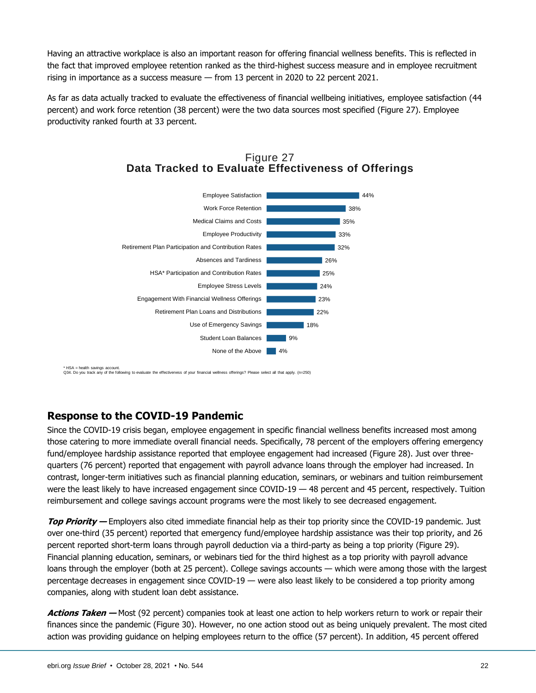Having an attractive workplace is also an important reason for offering financial wellness benefits. This is reflected in the fact that improved employee retention ranked as the third-highest success measure and in employee recruitment rising in importance as a success measure — from 13 percent in 2020 to 22 percent 2021.

As far as data actually tracked to evaluate the effectiveness of financial wellbeing initiatives, employee satisfaction (44 percent) and work force retention (38 percent) were the two data sources most specified (Figure 27). Employee productivity ranked fourth at 33 percent.





\* HSA = health savings account. Q34. Do you track any of the following to evaluate the effectiveness of your financial wellness offerings? Please select all that apply. (n=250)

## <span id="page-21-0"></span>**Response to the COVID-19 Pandemic**

Since the COVID-19 crisis began, employee engagement in specific financial wellness benefits increased most among those catering to more immediate overall financial needs. Specifically, 78 percent of the employers offering emergency fund/employee hardship assistance reported that employee engagement had increased (Figure 28). Just over threequarters (76 percent) reported that engagement with payroll advance loans through the employer had increased. In contrast, longer-term initiatives such as financial planning education, seminars, or webinars and tuition reimbursement were the least likely to have increased engagement since COVID-19 — 48 percent and 45 percent, respectively. Tuition reimbursement and college savings account programs were the most likely to see decreased engagement.

**Top Priority —** Employers also cited immediate financial help as their top priority since the COVID-19 pandemic. Just over one-third (35 percent) reported that emergency fund/employee hardship assistance was their top priority, and 26 percent reported short-term loans through payroll deduction via a third-party as being a top priority (Figure 29). Financial planning education, seminars, or webinars tied for the third highest as a top priority with payroll advance loans through the employer (both at 25 percent). College savings accounts — which were among those with the largest percentage decreases in engagement since COVID-19 — were also least likely to be considered a top priority among companies, along with student loan debt assistance.

**Actions Taken —** Most (92 percent) companies took at least one action to help workers return to work or repair their finances since the pandemic (Figure 30). However, no one action stood out as being uniquely prevalent. The most cited action was providing guidance on helping employees return to the office (57 percent). In addition, 45 percent offered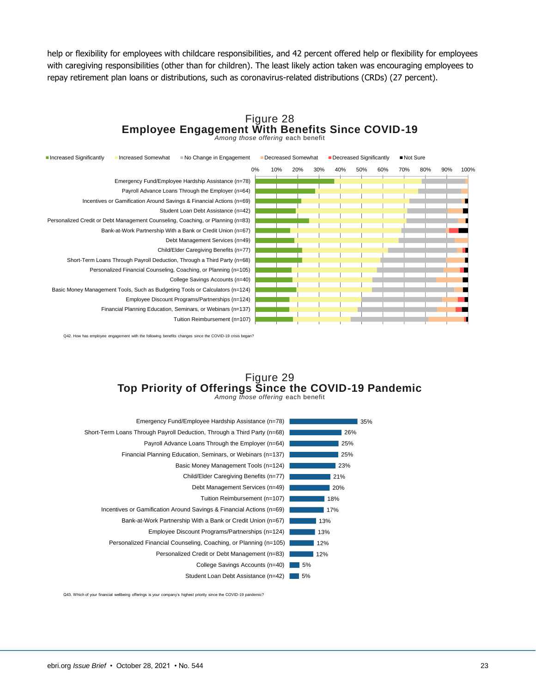help or flexibility for employees with childcare responsibilities, and 42 percent offered help or flexibility for employees with caregiving responsibilities (other than for children). The least likely action taken was encouraging employees to repay retirement plan loans or distributions, such as coronavirus-related distributions (CRDs) (27 percent).

#### Figure 28 **Employee Engagement With Benefits Since COVID-19** *Among those offering* each benefit



Q42. How has employee engagement with the following benefits changes since the COVID-19 crisis began?

#### Figure 29 **Top Priority of Offerings Since the COVID-19 Pandemic**

*Among those offering* each benefit



Q43. Which of your financial wellbeing offerings is your company's highest priority since the COVID-19 pandemic?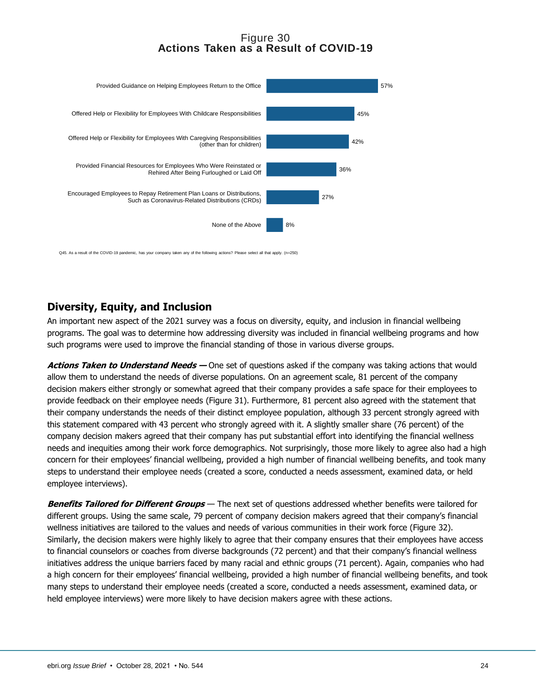## Figure 30 **Actions Taken as a Result of COVID-1 9**



Q45. As a result of the COVID-19 pandemic, has your company taken any of the following actions? Please select all that apply. (n=250)

## <span id="page-23-0"></span>**Diversity, Equity, and Inclusion**

An important new aspect of the 2021 survey was a focus on diversity, equity, and inclusion in financial wellbeing programs. The goal was to determine how addressing diversity was included in financial wellbeing programs and how such programs were used to improve the financial standing of those in various diverse groups.

**Actions Taken to Understand Needs —** One set of questions asked if the company was taking actions that would allow them to understand the needs of diverse populations. On an agreement scale, 81 percent of the company decision makers either strongly or somewhat agreed that their company provides a safe space for their employees to provide feedback on their employee needs (Figure 31). Furthermore, 81 percent also agreed with the statement that their company understands the needs of their distinct employee population, although 33 percent strongly agreed with this statement compared with 43 percent who strongly agreed with it. A slightly smaller share (76 percent) of the company decision makers agreed that their company has put substantial effort into identifying the financial wellness needs and inequities among their work force demographics. Not surprisingly, those more likely to agree also had a high concern for their employees' financial wellbeing, provided a high number of financial wellbeing benefits, and took many steps to understand their employee needs (created a score, conducted a needs assessment, examined data, or held employee interviews).

**Benefits Tailored for Different Groups** — The next set of questions addressed whether benefits were tailored for different groups. Using the same scale, 79 percent of company decision makers agreed that their company's financial wellness initiatives are tailored to the values and needs of various communities in their work force (Figure 32). Similarly, the decision makers were highly likely to agree that their company ensures that their employees have access to financial counselors or coaches from diverse backgrounds (72 percent) and that their company's financial wellness initiatives address the unique barriers faced by many racial and ethnic groups (71 percent). Again, companies who had a high concern for their employees' financial wellbeing, provided a high number of financial wellbeing benefits, and took many steps to understand their employee needs (created a score, conducted a needs assessment, examined data, or held employee interviews) were more likely to have decision makers agree with these actions.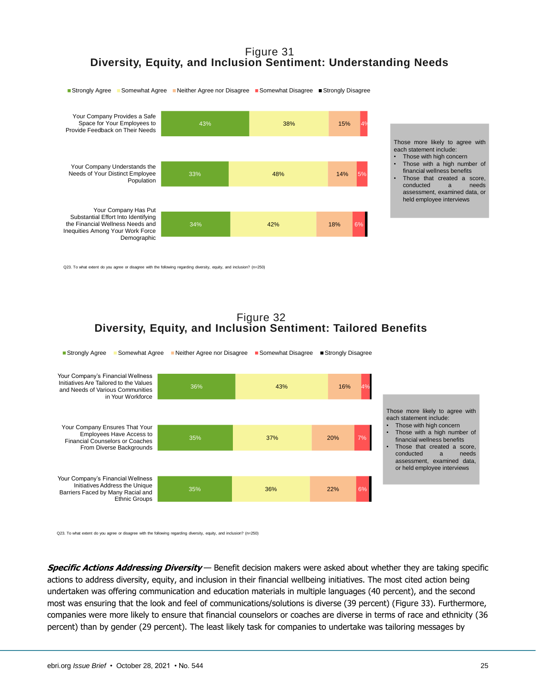## Figure 31 **Diversity, Equity, and Inclusion Sentiment: Understanding Needs**



Those more likely to agree with each statement include:

- Those with high concern • Those with <sup>a</sup> high number of financial wellness benefits
- • Those that created <sup>a</sup> score, conducted a needs assessment, examined data, or held employee interviews

Q23. To what extent do you agree or disagree with the following regarding diversity, equity, and inclusion? (n=250)

#### Figure 32 **Diversity, Equity, and Inclusion Sentiment: Tailored Benefits**



Q23. To what extent do you agree or disagree with the following regarding diversity, equity, and inclusion? (n=250)

**Specific Actions Addressing Diversity** — Benefit decision makers were asked about whether they are taking specific actions to address diversity, equity, and inclusion in their financial wellbeing initiatives. The most cited action being undertaken was offering communication and education materials in multiple languages (40 percent), and the second most was ensuring that the look and feel of communications/solutions is diverse (39 percent) (Figure 33). Furthermore, companies were more likely to ensure that financial counselors or coaches are diverse in terms of race and ethnicity (36 percent) than by gender (29 percent). The least likely task for companies to undertake was tailoring messages by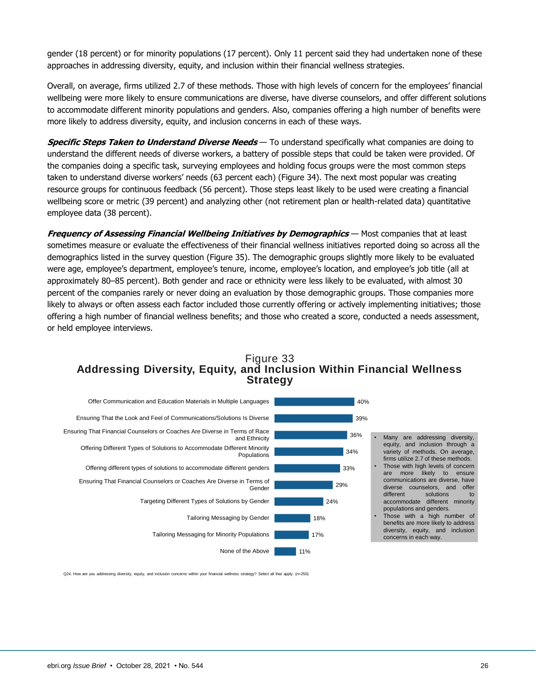gender (18 percent) or for minority populations (17 percent). Only 11 percent said they had undertaken none of these approaches in addressing diversity, equity, and inclusion within their financial wellness strategies.

Overall, on average, firms utilized 2.7 of these methods. Those with high levels of concern for the employees' financial wellbeing were more likely to ensure communications are diverse, have diverse counselors, and offer different solutions to accommodate different minority populations and genders. Also, companies offering a high number of benefits were more likely to address diversity, equity, and inclusion concerns in each of these ways.

**Specific Steps Taken to Understand Diverse Needs** — To understand specifically what companies are doing to understand the different needs of diverse workers, a battery of possible steps that could be taken were provided. Of the companies doing a specific task, surveying employees and holding focus groups were the most common steps taken to understand diverse workers' needs (63 percent each) (Figure 34). The next most popular was creating resource groups for continuous feedback (56 percent). Those steps least likely to be used were creating a financial wellbeing score or metric (39 percent) and analyzing other (not retirement plan or health-related data) quantitative employee data (38 percent).

**Frequency of Assessing Financial Wellbeing Initiatives by Demographics** — Most companies that at least sometimes measure or evaluate the effectiveness of their financial wellness initiatives reported doing so across all the demographics listed in the survey question (Figure 35). The demographic groups slightly more likely to be evaluated were age, employee's department, employee's tenure, income, employee's location, and employee's job title (all at approximately 80–85 percent). Both gender and race or ethnicity were less likely to be evaluated, with almost 30 percent of the companies rarely or never doing an evaluation by those demographic groups. Those companies more likely to always or often assess each factor included those currently offering or actively implementing initiatives; those offering a high number of financial wellness benefits; and those who created a score, conducted a needs assessment, or held employee interviews.

#### Figure 33 **Addressing Diversity, Equity, and Inclusion Within Financial Wellness Strategy**



Q24. How are you addressing diversity, equity, and inclusion concerns within your financial wellness strategy? Select all that apply. (n=250)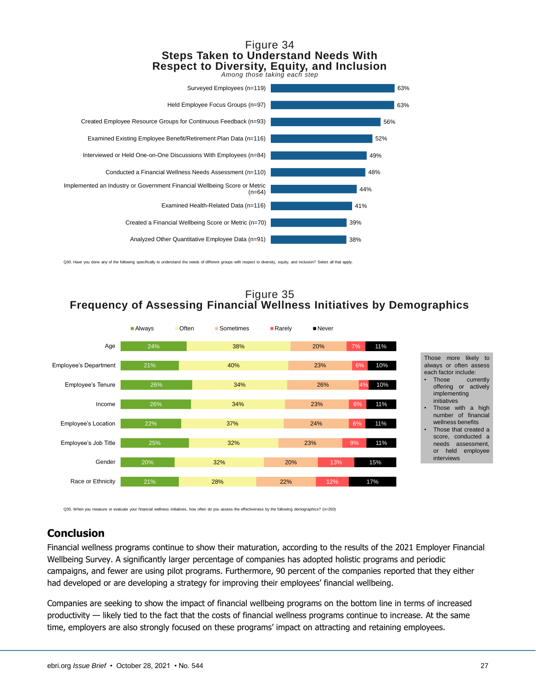#### Figure 34 **Steps Taken to Understand Needs With Respect to Diversity, Equity, and Inclusion**



Q30. Have you done any of the following specifically to understand the needs of different groups with respect to diversity, equity, and inclusion? Select all that apply

## Figure 35 **Frequency of Assessing Financial Wellness Initiatives by Demographics**



Those more likely to always or often assess each factor include:

- • Those currently offering or actively implementing initiatives
- Those with <sup>a</sup> high number of financial wellness benefits
- • Those that created a score, conducted <sup>a</sup> needs assessment, or held employee interviews

Q35. When you measure or evaluate your financial wellness initiatives, how often do you assess the effectiveness by the following demographics? (n=250)

# <span id="page-26-0"></span>**Conclusion**

Financial wellness programs continue to show their maturation, according to the results of the 2021 Employer Financial Wellbeing Survey. A significantly larger percentage of companies has adopted holistic programs and periodic campaigns, and fewer are using pilot programs. Furthermore, 90 percent of the companies reported that they either had developed or are developing a strategy for improving their employees' financial wellbeing.

Companies are seeking to show the impact of financial wellbeing programs on the bottom line in terms of increased productivity — likely tied to the fact that the costs of financial wellness programs continue to increase. At the same time, employers are also strongly focused on these programs' impact on attracting and retaining employees.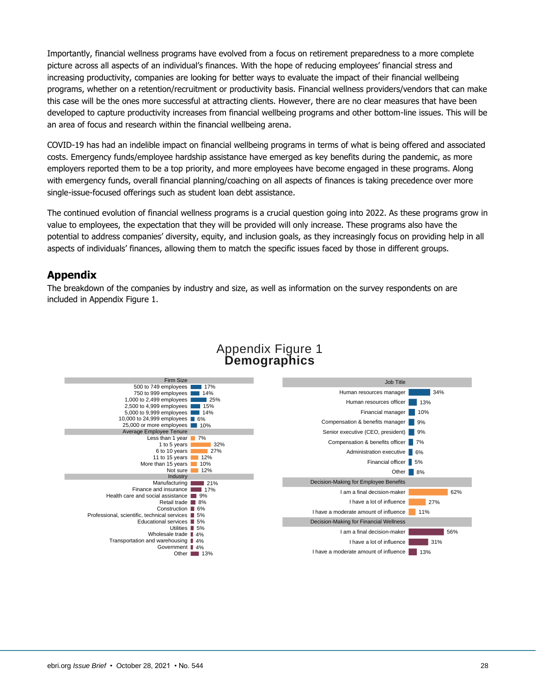Importantly, financial wellness programs have evolved from a focus on retirement preparedness to a more complete picture across all aspects of an individual's finances. With the hope of reducing employees' financial stress and increasing productivity, companies are looking for better ways to evaluate the impact of their financial wellbeing programs, whether on a retention/recruitment or productivity basis. Financial wellness providers/vendors that can make this case will be the ones more successful at attracting clients. However, there are no clear measures that have been developed to capture productivity increases from financial wellbeing programs and other bottom-line issues. This will be an area of focus and research within the financial wellbeing arena.

COVID-19 has had an indelible impact on financial wellbeing programs in terms of what is being offered and associated costs. Emergency funds/employee hardship assistance have emerged as key benefits during the pandemic, as more employers reported them to be a top priority, and more employees have become engaged in these programs. Along with emergency funds, overall financial planning/coaching on all aspects of finances is taking precedence over more single-issue-focused offerings such as student loan debt assistance.

The continued evolution of financial wellness programs is a crucial question going into 2022. As these programs grow in value to employees, the expectation that they will be provided will only increase. These programs also have the potential to address companies' diversity, equity, and inclusion goals, as they increasingly focus on providing help in all aspects of individuals' finances, allowing them to match the specific issues faced by those in different groups.

## <span id="page-27-0"></span>**Appendix**

The breakdown of the companies by industry and size, as well as information on the survey respondents on are included in Appendix Figure 1.



## Appendix Figure 1 **Demographics**